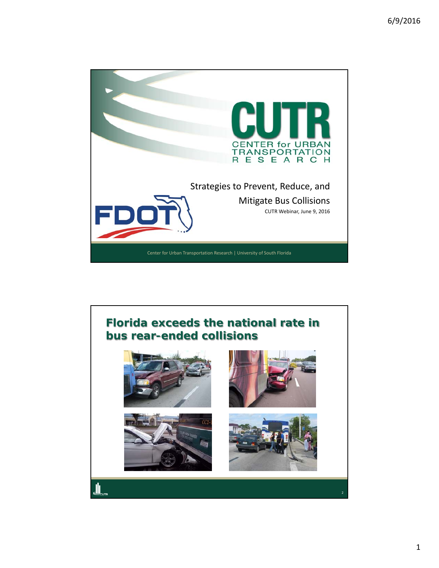

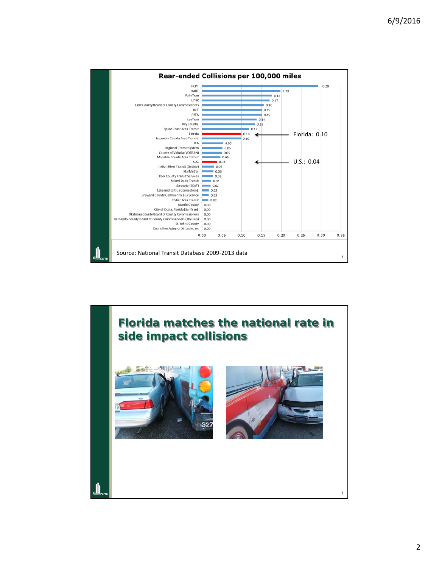

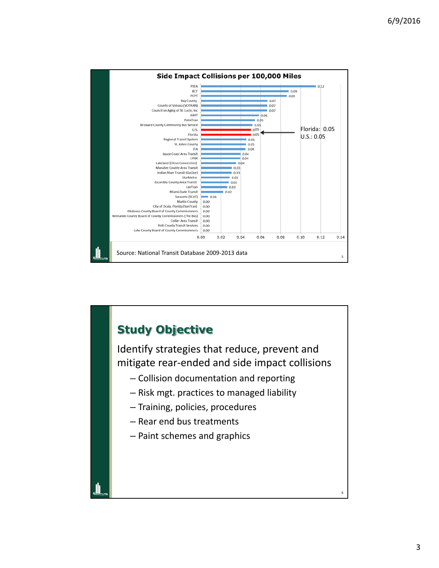

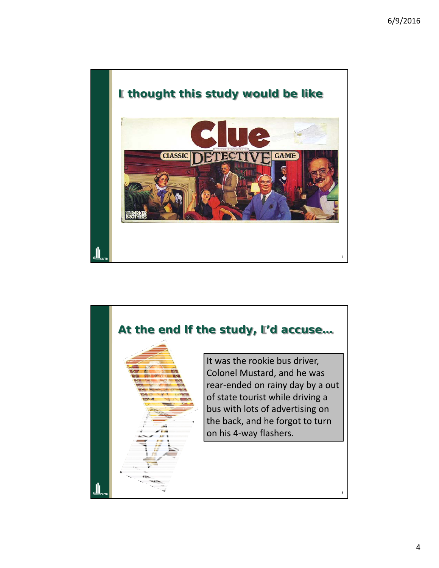

## **At the end lf the study, I'd accuse…**



It was the rookie bus driver, Colonel Mustard, and he was rear‐ended on rainy day by a out of state tourist while driving a bus with lots of advertising on the back, and he forgot to turn on his 4‐way flashers.

4

8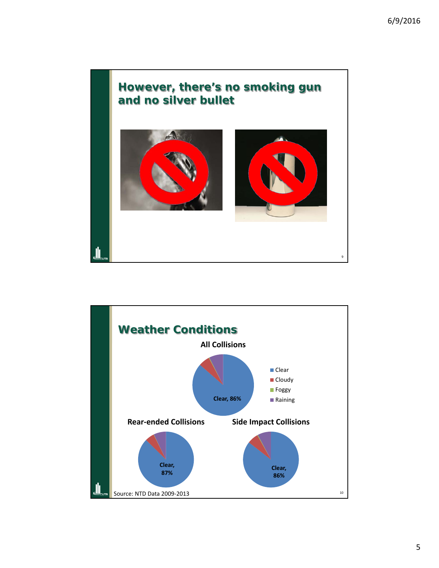

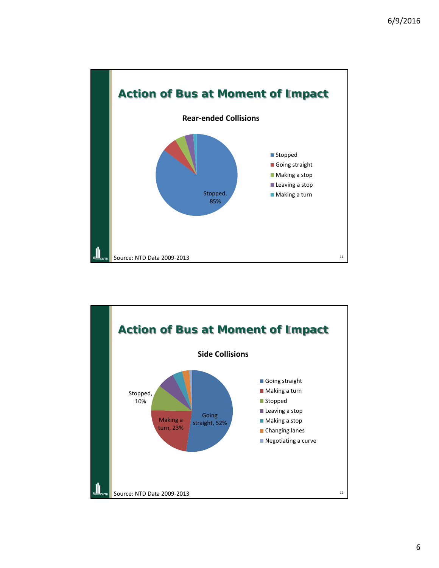

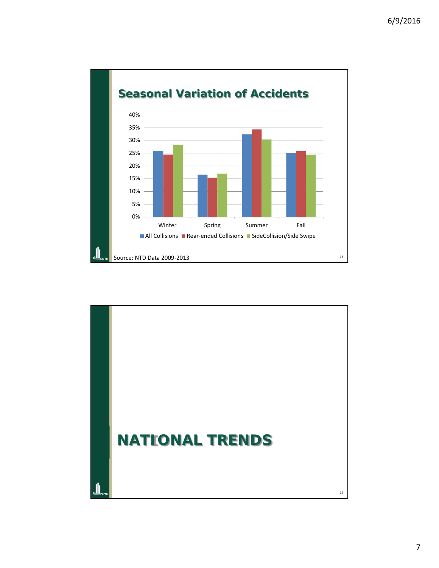

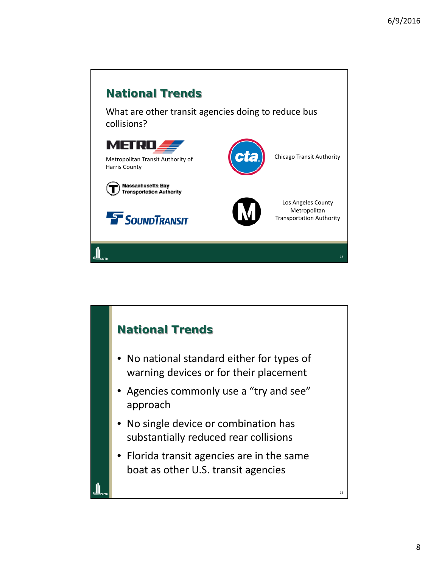

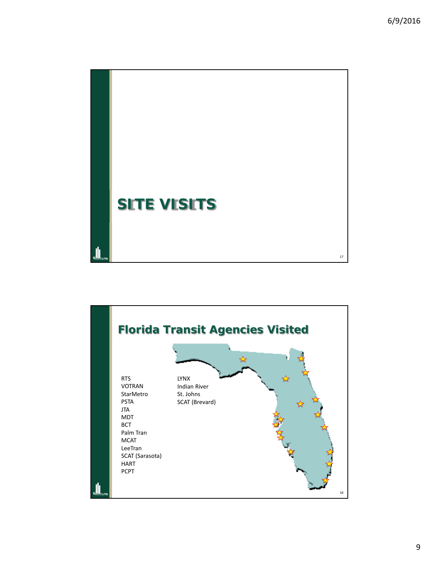

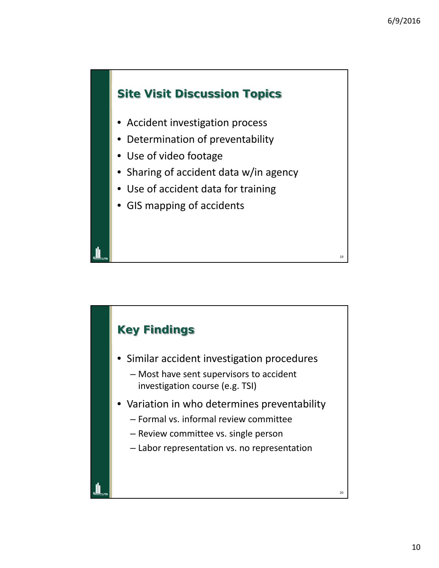19



- Accident investigation process
- Determination of preventability
- Use of video footage
- Sharing of accident data w/in agency
- Use of accident data for training
- GIS mapping of accidents

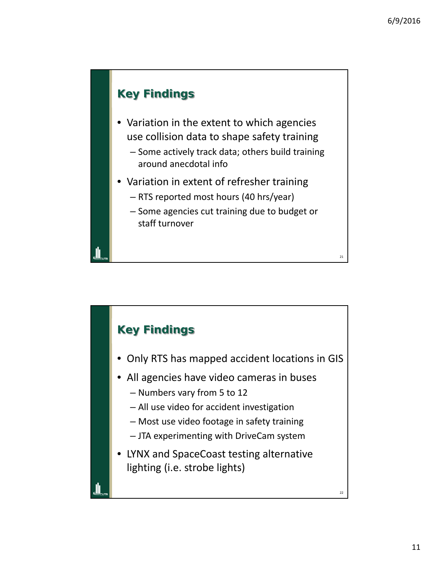21

### **Key Findings**

- Variation in the extent to which agencies use collision data to shape safety training
	- Some actively track data; others build training around anecdotal info
- Variation in extent of refresher training
	- RTS reported most hours (40 hrs/year)
	- Some agencies cut training due to budget or staff turnover

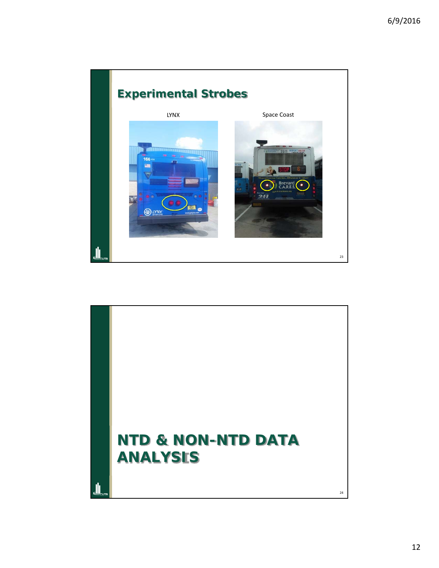

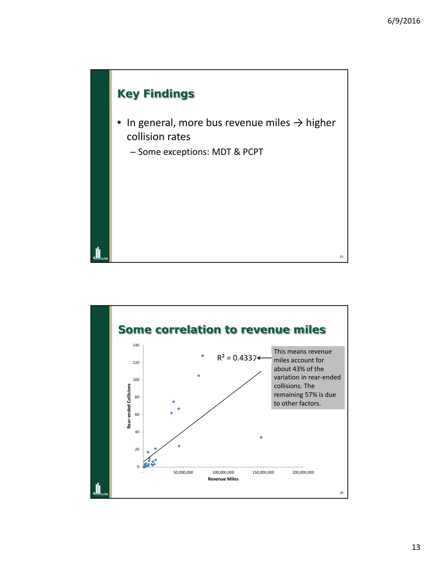

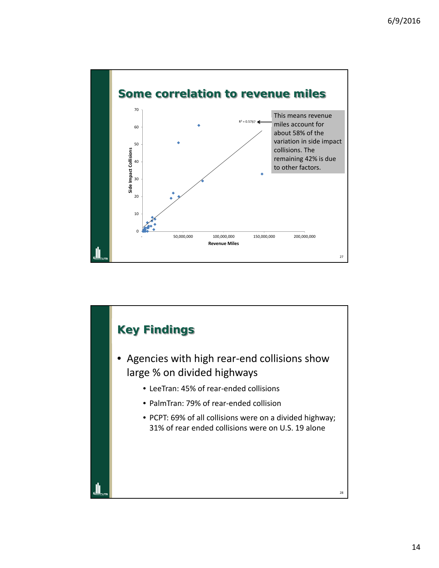

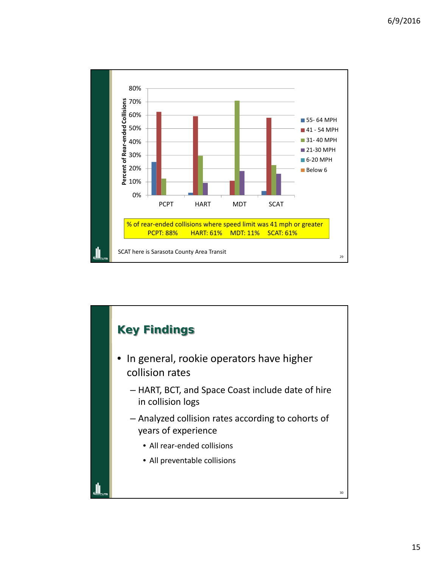

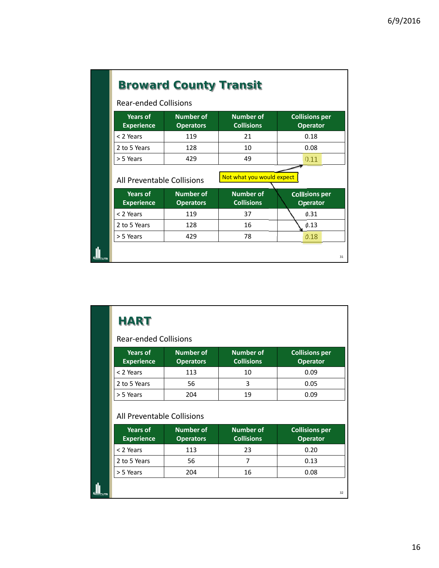| <b>Broward County Transit</b>        |                                      |                                       |                                          |  |  |
|--------------------------------------|--------------------------------------|---------------------------------------|------------------------------------------|--|--|
| <b>Rear-ended Collisions</b>         |                                      |                                       |                                          |  |  |
| <b>Years of</b><br><b>Experience</b> | <b>Number of</b><br><b>Operators</b> | <b>Number of</b><br><b>Collisions</b> | <b>Collisions per</b><br><b>Operator</b> |  |  |
| < 2 Years                            | 119                                  | 21                                    | 0.18                                     |  |  |
| 2 to 5 Years                         | 128                                  | 10                                    | 0.08                                     |  |  |
| > 5 Years                            | 429                                  | 49                                    | 0.11                                     |  |  |
| All Preventable Collisions           |                                      | Not what you would expect             |                                          |  |  |
| <b>Years of</b><br><b>Experience</b> | <b>Number of</b><br><b>Operators</b> | <b>Number of</b><br><b>Collisions</b> | <b>Collisions per</b><br><b>Operator</b> |  |  |
| < 2 Years                            | 119                                  | 37                                    | 0.31                                     |  |  |
| 2 to 5 Years                         | 128                                  | 16                                    | 0.13                                     |  |  |
| > 5 Years                            | 429                                  | 78                                    | 0.18                                     |  |  |
|                                      |                                      |                                       | 31                                       |  |  |

 $\blacksquare$ 

#### Rear-ended Collisions

| <b>Years of</b><br><b>Experience</b> | Number of<br><b>Operators</b> | <b>Number of</b><br><b>Collisions</b> | <b>Collisions per</b><br><b>Operator</b> |
|--------------------------------------|-------------------------------|---------------------------------------|------------------------------------------|
| < 2 Years                            | 113                           | 10                                    | 0.09                                     |
| 2 to 5 Years                         | 56                            |                                       | 0.05                                     |
| > 5 Years                            | 204                           | 19                                    | 0.09                                     |

#### All Preventable Collisions

| Years of<br><b>Experience</b> | <b>Number of</b><br><b>Operators</b> | <b>Number of</b><br><b>Collisions</b> | <b>Collisions per</b><br><b>Operator</b> |
|-------------------------------|--------------------------------------|---------------------------------------|------------------------------------------|
| < 2 Years                     | 113                                  | 23                                    | 0.20                                     |
| 2 to 5 Years                  | 56                                   |                                       | 0.13                                     |
| > 5 Years                     | 204                                  | 16                                    | 0.08                                     |
|                               |                                      |                                       |                                          |
|                               |                                      |                                       | 32                                       |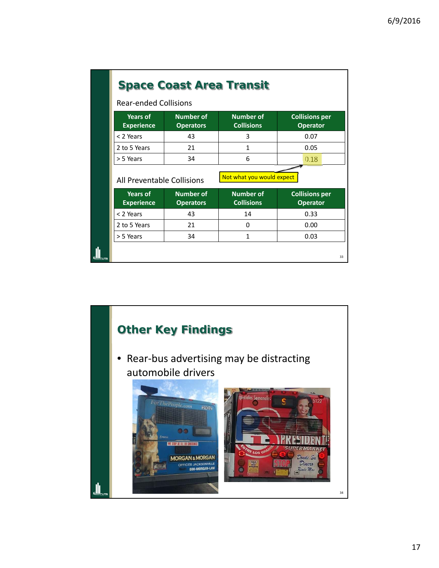| <b>Space Coast Area Transit</b>                                              |                                      |                                       |                                          |  |
|------------------------------------------------------------------------------|--------------------------------------|---------------------------------------|------------------------------------------|--|
| <b>Rear-ended Collisions</b>                                                 |                                      |                                       |                                          |  |
| <b>Number of</b><br><b>Years of</b><br><b>Experience</b><br><b>Operators</b> |                                      | <b>Number of</b><br><b>Collisions</b> | <b>Collisions per</b><br><b>Operator</b> |  |
| < 2 Years                                                                    | 43                                   | 3                                     | 0.07                                     |  |
| 2 to 5 Years                                                                 | 21                                   | 1                                     | 0.05                                     |  |
| > 5 Years                                                                    | 34                                   | 6                                     | 0.18                                     |  |
|                                                                              |                                      |                                       |                                          |  |
| All Preventable Collisions                                                   |                                      | Not what you would expect             |                                          |  |
| <b>Years of</b><br><b>Experience</b>                                         | <b>Number of</b><br><b>Operators</b> | <b>Number of</b><br><b>Collisions</b> | <b>Collisions per</b><br><b>Operator</b> |  |
| < 2 Years                                                                    | 43                                   | 14                                    | 0.33                                     |  |
| 2 to 5 Years                                                                 | 21                                   | 0                                     | 0.00                                     |  |

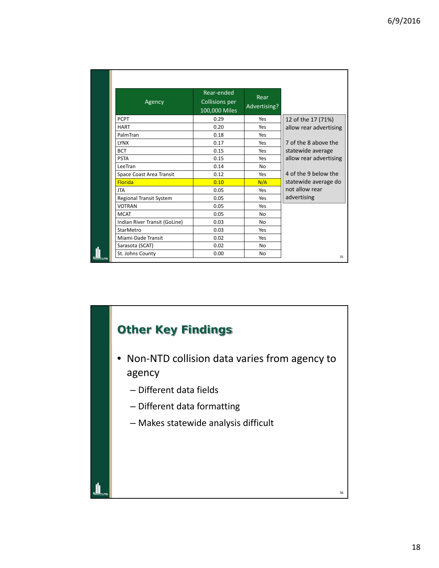| Agency                        | Rear-ended<br><b>Collisions per</b><br>100,000 Miles | Rear<br>Advertising? |                        |
|-------------------------------|------------------------------------------------------|----------------------|------------------------|
| <b>PCPT</b>                   | 0.29                                                 | Yes                  |                        |
|                               |                                                      |                      | 12 of the 17 (71%)     |
| <b>HART</b>                   | 0.20                                                 | Yes                  | allow rear advertising |
| PalmTran                      | 0.18                                                 | Yes                  |                        |
| <b>LYNX</b>                   | 0.17                                                 | Yes                  | 7 of the 8 above the   |
| <b>BCT</b>                    | 0.15                                                 | Yes                  | statewide average      |
| <b>PSTA</b>                   | 0.15                                                 | Yes                  | allow rear advertising |
| LeeTran                       | 0.14                                                 | N <sub>o</sub>       |                        |
| Space Coast Area Transit      | 0.12                                                 | Yes                  | 4 of the 9 below the   |
| <b>Florida</b>                | 0.10                                                 | N/A                  | statewide average do   |
| <b>JTA</b>                    | 0.05                                                 | Yes                  | not allow rear         |
| Regional Transit System       | 0.05                                                 | Yes                  | advertising            |
| <b>VOTRAN</b>                 | 0.05                                                 | Yes                  |                        |
| <b>MCAT</b>                   | 0.05                                                 | <b>No</b>            |                        |
| Indian River Transit (GoLine) | 0.03                                                 | No                   |                        |
| StarMetro                     | 0.03                                                 | Yes                  |                        |
| Miami-Dade Transit            | 0.02                                                 | Yes                  |                        |
| Sarasota (SCAT)               | 0.02                                                 | <b>No</b>            |                        |
| St. Johns County              | 0.00                                                 | <b>No</b>            | 35                     |

# **Other Key Findings**

- Non‐NTD collision data varies from agency to agency
	- Different data fields
	- Different data formatting
	- Makes statewide analysis difficult

36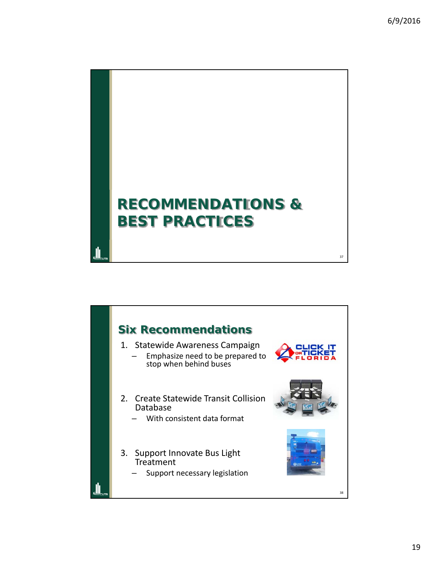37

# **RECOMMENDATIONS & BEST PRACTICES**

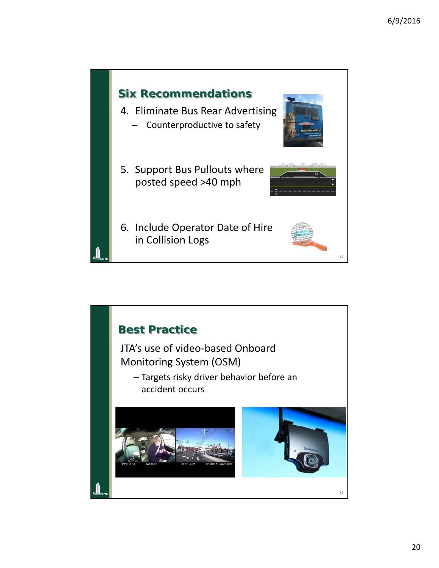